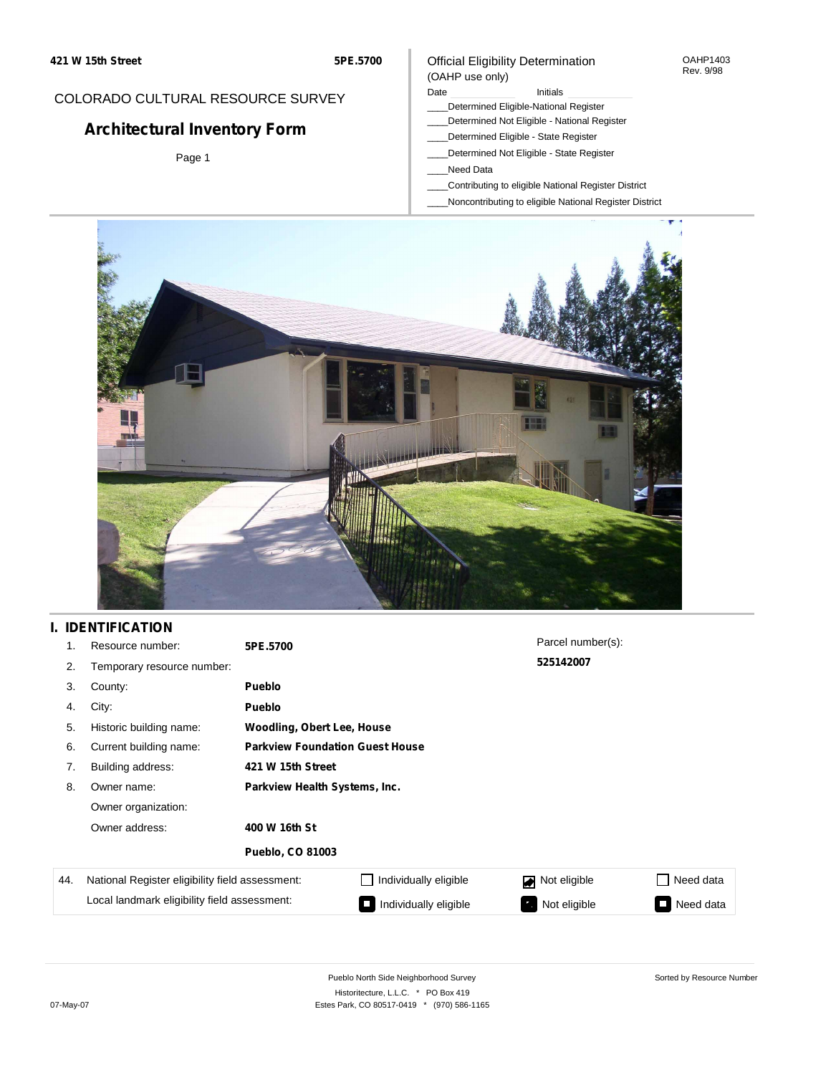#### OAHP1403 Rev. 9/98

## COLORADO CULTURAL RESOURCE SURVEY

# **Architectural Inventory Form**

Page 1

# (OAHP use only)

Official Eligibility Determination

### Date **Initials** Initials

- \_\_\_\_Determined Eligible-National Register
- \_\_\_\_Determined Not Eligible National Register \_\_\_\_Determined Eligible - State Register
- \_\_\_\_Determined Not Eligible State Register
- \_\_\_\_Need Data
- \_\_\_\_Contributing to eligible National Register District
- \_\_\_\_Noncontributing to eligible National Register District



### **I. IDENTIFICATION**

| 1.  | Resource number:                                | 5PE.5700                               |                       | Parcel number(s): |                     |
|-----|-------------------------------------------------|----------------------------------------|-----------------------|-------------------|---------------------|
| 2.  | Temporary resource number:                      |                                        |                       | 525142007         |                     |
| 3.  | County:                                         | <b>Pueblo</b>                          |                       |                   |                     |
| 4.  | City:                                           | <b>Pueblo</b>                          |                       |                   |                     |
| 5.  | Historic building name:                         | <b>Woodling, Obert Lee, House</b>      |                       |                   |                     |
| 6.  | Current building name:                          | <b>Parkview Foundation Guest House</b> |                       |                   |                     |
| 7.  | Building address:                               | 421 W 15th Street                      |                       |                   |                     |
| 8.  | Owner name:                                     | Parkview Health Systems, Inc.          |                       |                   |                     |
|     | Owner organization:                             |                                        |                       |                   |                     |
|     | Owner address:                                  | 400 W 16th St                          |                       |                   |                     |
|     |                                                 | <b>Pueblo, CO 81003</b>                |                       |                   |                     |
| 44. | National Register eligibility field assessment: |                                        | Individually eligible | Not eligible      | Need data           |
|     | Local landmark eligibility field assessment:    |                                        | Individually eligible | Not eligible      | Need data<br>$\Box$ |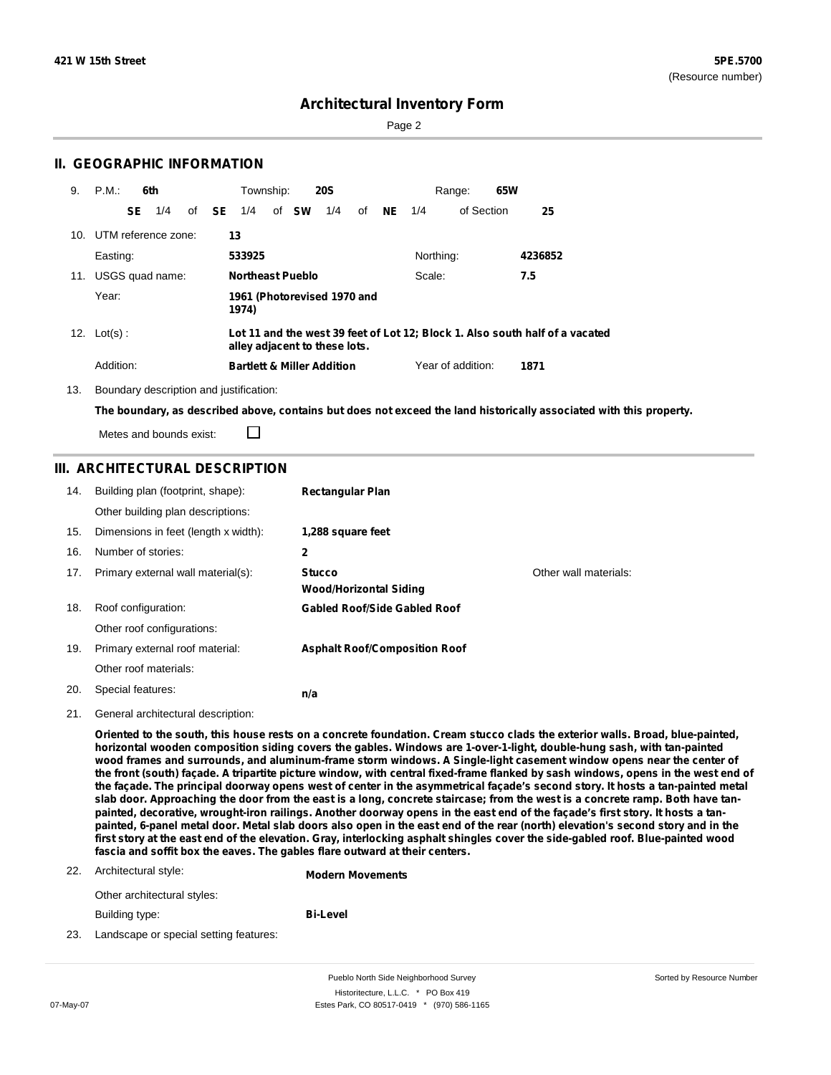Page 2

### **II. GEOGRAPHIC INFORMATION**

| 9.                                                                                                                              | $P.M.$ :<br>6th         | Township:<br><b>20S</b>                    | Range:                            | 65W     |
|---------------------------------------------------------------------------------------------------------------------------------|-------------------------|--------------------------------------------|-----------------------------------|---------|
|                                                                                                                                 | SE<br>1/4               | of <b>SW</b><br>1/4<br>of <b>SE</b><br>1/4 | of <b>NE</b><br>of Section<br>1/4 | 25      |
|                                                                                                                                 | 10. UTM reference zone: | 13                                         |                                   |         |
|                                                                                                                                 | Easting:                | 533925                                     | Northing:                         | 4236852 |
|                                                                                                                                 | 11. USGS quad name:     | <b>Northeast Pueblo</b>                    | Scale:                            | 7.5     |
|                                                                                                                                 | Year:                   | 1961 (Photorevised 1970 and<br>1974)       |                                   |         |
| Lot 11 and the west 39 feet of Lot 12; Block 1. Also south half of a vacated<br>12. $Lot(s)$ :<br>alley adjacent to these lots. |                         |                                            |                                   |         |
|                                                                                                                                 | Addition:               | <b>Bartlett &amp; Miller Addition</b>      | Year of addition:                 | 1871    |

13. Boundary description and justification:

□

The boundary, as described above, contains but does not exceed the land historically associated with this property.

Metes and bounds exist:

### **III. ARCHITECTURAL DESCRIPTION**

| 14. | Building plan (footprint, shape):    | <b>Rectangular Plan</b>                        |                       |
|-----|--------------------------------------|------------------------------------------------|-----------------------|
|     | Other building plan descriptions:    |                                                |                       |
| 15. | Dimensions in feet (length x width): | 1,288 square feet                              |                       |
| 16. | Number of stories:                   | 2                                              |                       |
| 17. | Primary external wall material(s):   | <b>Stucco</b><br><b>Wood/Horizontal Siding</b> | Other wall materials: |
| 18. | Roof configuration:                  | <b>Gabled Roof/Side Gabled Roof</b>            |                       |
|     | Other roof configurations:           |                                                |                       |
| 19. | Primary external roof material:      | <b>Asphalt Roof/Composition Roof</b>           |                       |
|     | Other roof materials:                |                                                |                       |
| 20. | Special features:                    | n/a                                            |                       |

21. General architectural description:

Oriented to the south, this house rests on a concrete foundation. Cream stucco clads the exterior walls. Broad, blue-painted, **horizontal wooden composition siding covers the gables. Windows are 1-over-1-light, double-hung sash, with tan-painted** wood frames and surrounds, and aluminum-frame storm windows. A Single-light casement window opens near the center of the front (south) façade. A tripartite picture window, with central fixed-frame flanked by sash windows, opens in the west end of the façade. The principal doorway opens west of center in the asymmetrical façade's second story. It hosts a tan-painted metal slab door. Approaching the door from the east is a long, concrete staircase; from the west is a concrete ramp. Both have tanpainted, decorative, wrought-iron railings. Another doorway opens in the east end of the façade's first story. It hosts a tanpainted, 6-panel metal door. Metal slab doors also open in the east end of the rear (north) elevation's second story and in the first story at the east end of the elevation. Gray, interlocking asphalt shingles cover the side-gabled roof. Blue-painted wood **fascia and soffit box the eaves. The gables flare outward at their centers.**

#### 22. Architectural style:

**Modern Movements**

**Bi-Level**

Other architectural styles:

Building type:

23. Landscape or special setting features: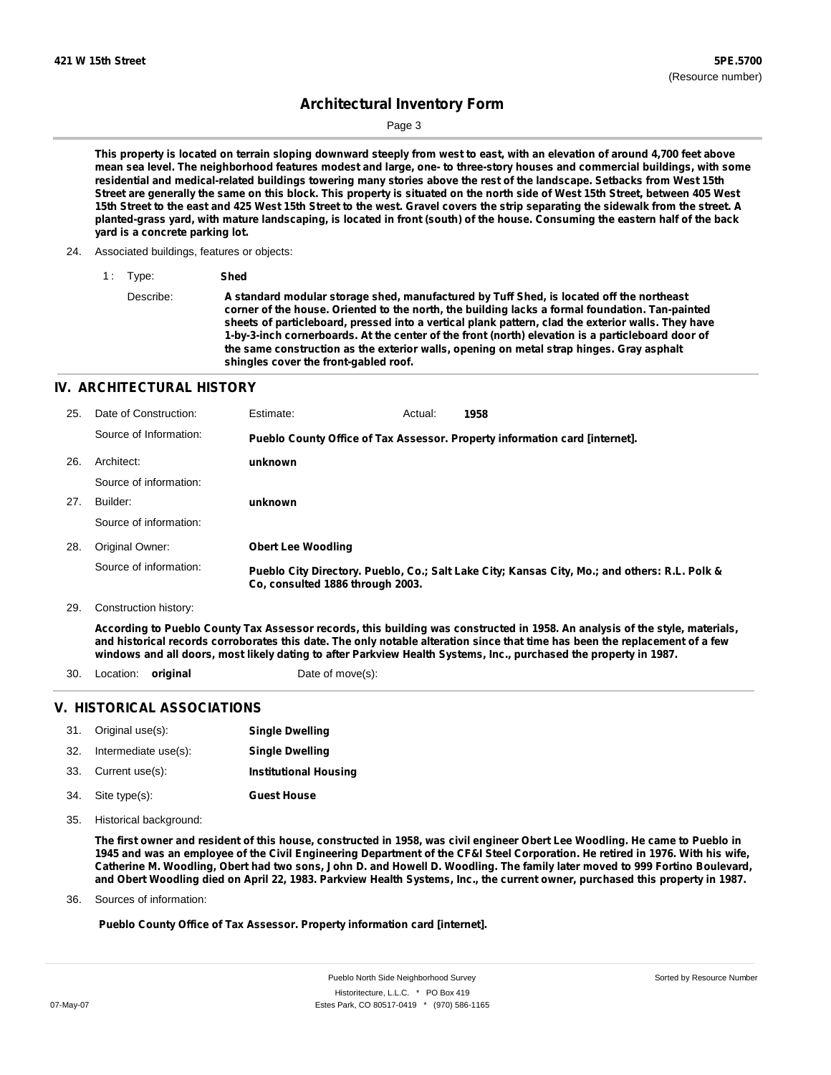Sorted by Resource Number

## **Architectural Inventory Form**

Page 3

This property is located on terrain sloping downward steeply from west to east, with an elevation of around 4,700 feet above mean sea level. The neighborhood features modest and large, one- to three-story houses and commercial buildings, with some residential and medical-related buildings towering many stories above the rest of the landscape. Setbacks from West 15th Street are generally the same on this block. This property is situated on the north side of West 15th Street, between 405 West 15th Street to the east and 425 West 15th Street to the west. Gravel covers the strip separating the sidewalk from the street. A planted-grass yard, with mature landscaping, is located in front (south) of the house. Consuming the eastern half of the back **yard is a concrete parking lot.**

24. Associated buildings, features or objects:

```
1 : Type: Shed
```

```
Describe: A standard modular storage shed, manufactured by Tuff Shed, is located off the northeast
      corner of the house. Oriented to the north, the building lacks a formal foundation. Tan-painted
      sheets of particleboard, pressed into a vertical plank pattern, clad the exterior walls. They have
      1-by-3-inch cornerboards. At the center of the front (north) elevation is a particleboard door of
      the same construction as the exterior walls, opening on metal strap hinges. Gray asphalt
      shingles cover the front-gabled roof.
```
#### **IV. ARCHITECTURAL HISTORY**

| Date of Construction:  | Estimate:                 | Actual: | 1958                                                                                                            |
|------------------------|---------------------------|---------|-----------------------------------------------------------------------------------------------------------------|
| Source of Information: |                           |         |                                                                                                                 |
| Architect:             | unknown                   |         |                                                                                                                 |
| Source of information: |                           |         |                                                                                                                 |
| Builder:               | unknown                   |         |                                                                                                                 |
| Source of information: |                           |         |                                                                                                                 |
| Original Owner:        | <b>Obert Lee Woodling</b> |         |                                                                                                                 |
| Source of information: |                           |         | Pueblo City Directory. Pueblo, Co.; Salt Lake City; Kansas City, Mo.; and others: R.L. Polk &                   |
|                        |                           |         | Pueblo County Office of Tax Assessor. Property information card [internet].<br>Co. consulted 1886 through 2003. |

29. Construction history:

According to Pueblo County Tax Assessor records, this building was constructed in 1958. An analysis of the style, materials, and historical records corroborates this date. The only notable alteration since that time has been the replacement of a few windows and all doors, most likely dating to after Parkview Health Systems, Inc., purchased the property in 1987.

- 30. Location: **original** Date of move(s):
- 

### **V. HISTORICAL ASSOCIATIONS**

|     | 31. Original use(s): | <b>Single Dwelling</b>       |
|-----|----------------------|------------------------------|
| 32. | Intermediate use(s): | <b>Single Dwelling</b>       |
|     | 33. Current use(s):  | <b>Institutional Housing</b> |

- **Guest House** Site type(s): 34.
- Historical background: 35.

The first owner and resident of this house, constructed in 1958, was civil engineer Obert Lee Woodling. He came to Pueblo in 1945 and was an employee of the Civil Engineering Department of the CF&I Steel Corporation. He retired in 1976. With his wife, Catherine M. Woodling, Obert had two sons, John D. and Howell D. Woodling. The family later moved to 999 Fortino Boulevard, and Obert Woodling died on April 22, 1983. Parkview Health Systems, Inc., the current owner, purchased this property in 1987.

Sources of information: 36.

**Pueblo County Office of Tax Assessor. Property information card [internet].**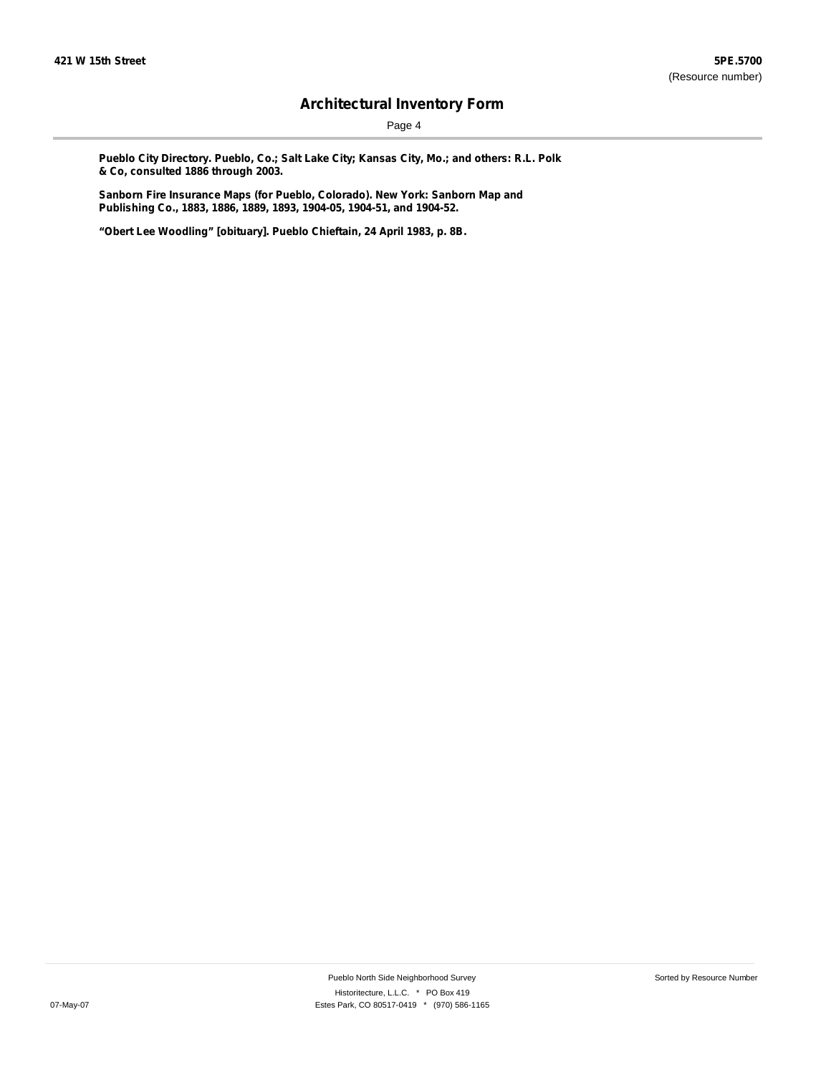Page 4

**Pueblo City Directory. Pueblo, Co.; Salt Lake City; Kansas City, Mo.; and others: R.L. Polk & Co, consulted 1886 through 2003.**

**Sanborn Fire Insurance Maps (for Pueblo, Colorado). New York: Sanborn Map and Publishing Co., 1883, 1886, 1889, 1893, 1904-05, 1904-51, and 1904-52.**

**"Obert Lee Woodling" [obituary]. Pueblo Chieftain, 24 April 1983, p. 8B.**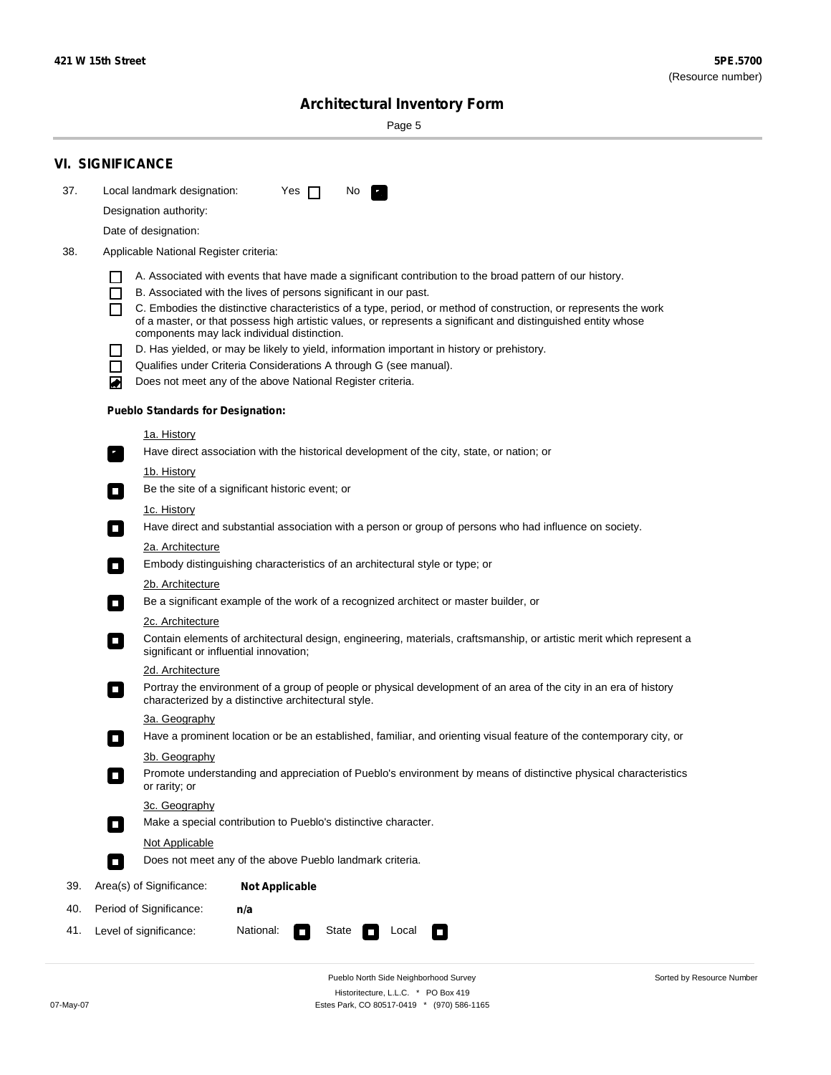Sorted by Resource Number

# **Architectural Inventory Form**

Page 5

|     | <b>VI. SIGNIFICANCE</b>                                                                                                                                                                        |  |  |  |
|-----|------------------------------------------------------------------------------------------------------------------------------------------------------------------------------------------------|--|--|--|
| 37. | Local landmark designation:<br>Yes $\Box$<br>No.<br>$\mathbf{F}_{\mathbf{r}}$                                                                                                                  |  |  |  |
|     | Designation authority:                                                                                                                                                                         |  |  |  |
|     | Date of designation:                                                                                                                                                                           |  |  |  |
| 38. | Applicable National Register criteria:                                                                                                                                                         |  |  |  |
|     |                                                                                                                                                                                                |  |  |  |
|     | A. Associated with events that have made a significant contribution to the broad pattern of our history.<br>B. Associated with the lives of persons significant in our past.<br>$\blacksquare$ |  |  |  |
|     | C. Embodies the distinctive characteristics of a type, period, or method of construction, or represents the work<br>П                                                                          |  |  |  |
|     | of a master, or that possess high artistic values, or represents a significant and distinguished entity whose<br>components may lack individual distinction.                                   |  |  |  |
|     | D. Has yielded, or may be likely to yield, information important in history or prehistory.                                                                                                     |  |  |  |
|     | Qualifies under Criteria Considerations A through G (see manual).<br>$\sim$                                                                                                                    |  |  |  |
|     | Does not meet any of the above National Register criteria.<br>₩                                                                                                                                |  |  |  |
|     | <b>Pueblo Standards for Designation:</b>                                                                                                                                                       |  |  |  |
|     | 1a. History                                                                                                                                                                                    |  |  |  |
|     | $\overline{\mathbf{r}}_1$<br>Have direct association with the historical development of the city, state, or nation; or                                                                         |  |  |  |
|     | <u>1b. History</u>                                                                                                                                                                             |  |  |  |
|     | Be the site of a significant historic event; or<br>$\overline{\phantom{a}}$                                                                                                                    |  |  |  |
|     | 1c. History                                                                                                                                                                                    |  |  |  |
|     | Have direct and substantial association with a person or group of persons who had influence on society.<br>$\overline{\phantom{a}}$                                                            |  |  |  |
|     | 2a. Architecture                                                                                                                                                                               |  |  |  |
|     | Embody distinguishing characteristics of an architectural style or type; or<br>$\Box$                                                                                                          |  |  |  |
|     | 2b. Architecture                                                                                                                                                                               |  |  |  |
|     | Be a significant example of the work of a recognized architect or master builder, or<br>$\Box$                                                                                                 |  |  |  |
|     | 2c. Architecture                                                                                                                                                                               |  |  |  |
|     | Contain elements of architectural design, engineering, materials, craftsmanship, or artistic merit which represent a<br>$\Box$<br>significant or influential innovation;                       |  |  |  |
|     | 2d. Architecture                                                                                                                                                                               |  |  |  |
|     | Portray the environment of a group of people or physical development of an area of the city in an era of history<br>$\Box$<br>characterized by a distinctive architectural style.              |  |  |  |
|     | 3a. Geography                                                                                                                                                                                  |  |  |  |
|     | Have a prominent location or be an established, familiar, and orienting visual feature of the contemporary city, or                                                                            |  |  |  |
|     | 3b. Geography<br>Promote understanding and appreciation of Pueblo's environment by means of distinctive physical characteristics                                                               |  |  |  |
|     | or rarity; or                                                                                                                                                                                  |  |  |  |
|     | 3c. Geography                                                                                                                                                                                  |  |  |  |
|     | Make a special contribution to Pueblo's distinctive character.<br>$\overline{\phantom{a}}$                                                                                                     |  |  |  |
|     | Not Applicable                                                                                                                                                                                 |  |  |  |
|     | Does not meet any of the above Pueblo landmark criteria.<br>$\overline{\phantom{a}}$                                                                                                           |  |  |  |
| 39. | Area(s) of Significance:<br><b>Not Applicable</b>                                                                                                                                              |  |  |  |
| 40. | Period of Significance:<br>n/a                                                                                                                                                                 |  |  |  |
| 41. | National:<br>Level of significance:<br>State<br>Local<br>$\mathcal{L}_{\mathcal{A}}$<br>$\Box$                                                                                                 |  |  |  |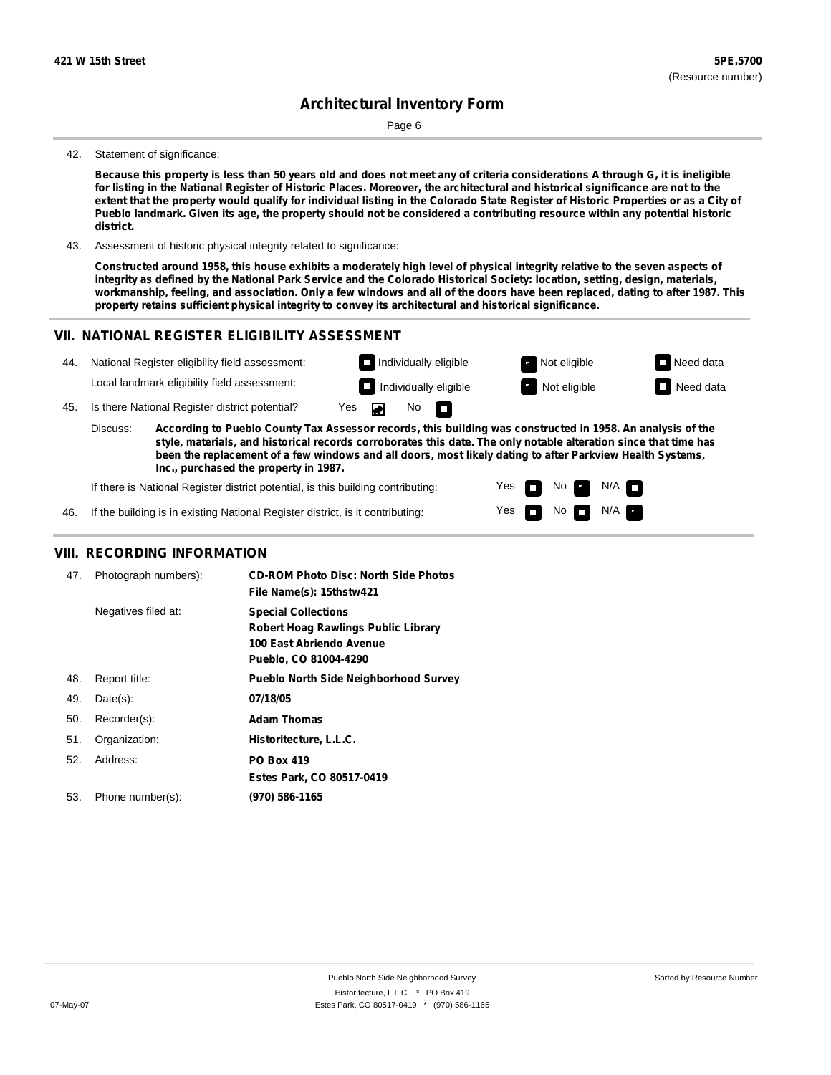Page 6

#### 42. Statement of significance:

Because this property is less than 50 years old and does not meet any of criteria considerations A through G, it is ineligible for listing in the National Register of Historic Places. Moreover, the architectural and historical significance are not to the extent that the property would qualify for individual listing in the Colorado State Register of Historic Properties or as a City of Pueblo landmark. Given its age, the property should not be considered a contributing resource within any potential historic **district.**

43. Assessment of historic physical integrity related to significance:

Constructed around 1958, this house exhibits a moderately high level of physical integrity relative to the seven aspects of integrity as defined by the National Park Service and the Colorado Historical Society: location, setting, design, materials, workmanship, feeling, and association. Only a few windows and all of the doors have been replaced, dating to after 1987. This **property retains sufficient physical integrity to convey its architectural and historical significance.**

#### **VII. NATIONAL REGISTER ELIGIBILITY ASSESSMENT**



Yes

No  $\blacksquare$  N/A

If the building is in existing National Register district, is it contributing: 46.

### **VIII. RECORDING INFORMATION**

| 47. | Photograph numbers): | <b>CD-ROM Photo Disc: North Side Photos</b><br>File Name(s): 15thstw421                                                |
|-----|----------------------|------------------------------------------------------------------------------------------------------------------------|
|     | Negatives filed at:  | <b>Special Collections</b><br>Robert Hoag Rawlings Public Library<br>100 East Abriendo Avenue<br>Pueblo, CO 81004-4290 |
| 48. | Report title:        | <b>Pueblo North Side Neighborhood Survey</b>                                                                           |
| 49. | $Date(s)$ :          | 07/18/05                                                                                                               |
| 50. | Recorder(s):         | <b>Adam Thomas</b>                                                                                                     |
| 51. | Organization:        | Historitecture, L.L.C.                                                                                                 |
| 52. | Address:             | <b>PO Box 419</b>                                                                                                      |
|     |                      | Estes Park, CO 80517-0419                                                                                              |
| 53. | Phone number(s):     | (970) 586-1165                                                                                                         |
|     |                      |                                                                                                                        |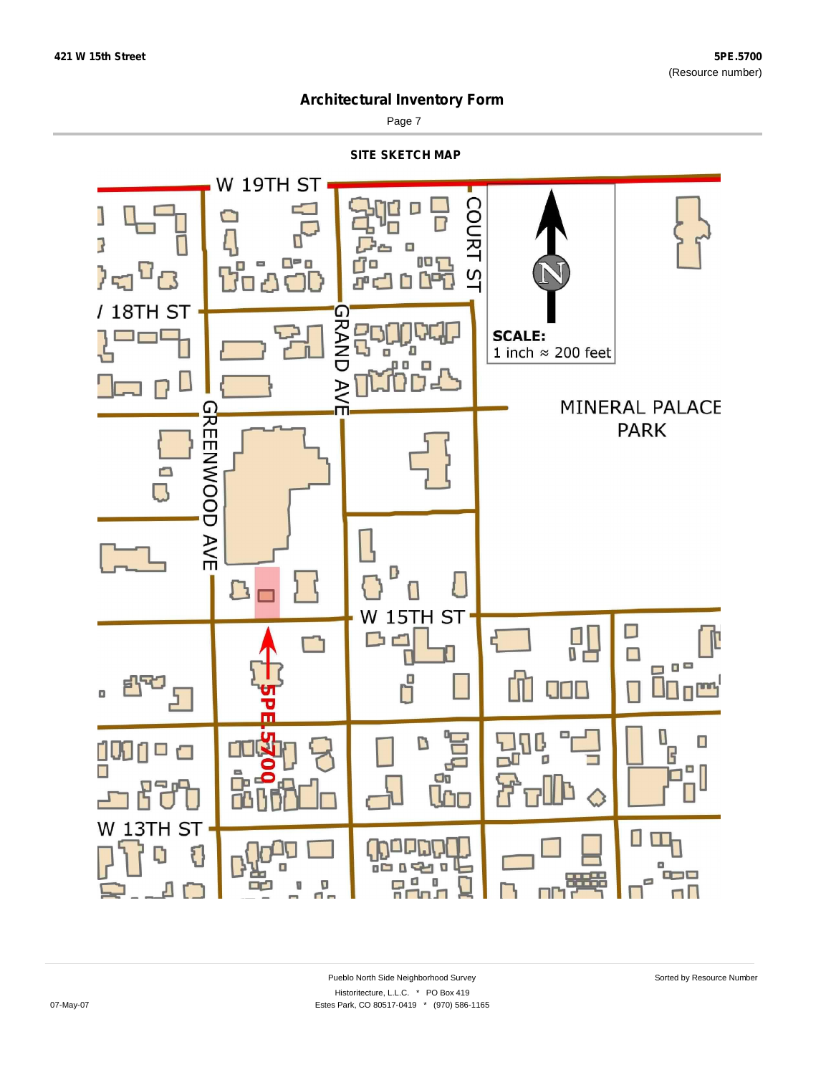

Page 7